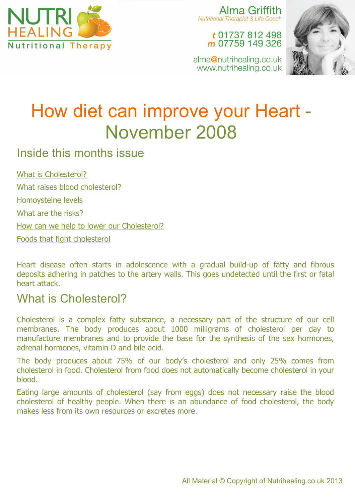

Alma Griffith Nutritional Therapist & Life Coach

> t 01737 812 498 m 07759 149 326

alma@nutrihealing.co.uk www.nutrihealing.co.uk



# How diet can improve your Heart - November 2008

### Inside this months issue

What is Cholesterol?

What raises blood cholesterol?

Homoysteine levels

What are the risks?

How can we help to lower our Cholesterol?

Foods that fight cholesterol

Heart disease often starts in adolescence with a gradual build-up of fatty and fibrous deposits adhering in patches to the artery walls. This goes undetected until the first or fatal heart attack.

### What is Cholesterol?

Cholesterol is a complex fatty substance, a necessary part of the structure of our cell membranes. The body produces about 1000 milligrams of cholesterol per day to manufacture membranes and to provide the base for the synthesis of the sex hormones, adrenal hormones, vitamin D and bile acid.

The body produces about 75% of our body's cholesterol and only 25% comes from cholesterol in food. Cholesterol from food does not automatically become cholesterol in your blood.

Eating large amounts of cholesterol (say from eggs) does not necessary raise the blood cholesterol of healthy people. When there is an abundance of food cholesterol, the body makes less from its own resources or excretes more.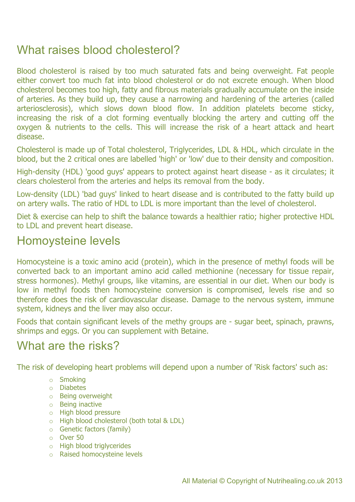# What raises blood cholesterol?

Blood cholesterol is raised by too much saturated fats and being overweight. Fat people either convert too much fat into blood cholesterol or do not excrete enough. When blood cholesterol becomes too high, fatty and fibrous materials gradually accumulate on the inside of arteries. As they build up, they cause a narrowing and hardening of the arteries (called arteriosclerosis), which slows down blood flow. In addition platelets become sticky, increasing the risk of a clot forming eventually blocking the artery and cutting off the oxygen & nutrients to the cells. This will increase the risk of a heart attack and heart disease.

Cholesterol is made up of Total cholesterol, Triglycerides, LDL & HDL, which circulate in the blood, but the 2 critical ones are labelled 'high' or 'low' due to their density and composition.

High-density (HDL) 'good guys' appears to protect against heart disease - as it circulates; it clears cholesterol from the arteries and helps its removal from the body.

Low-density (LDL) 'bad guys' linked to heart disease and is contributed to the fatty build up on artery walls. The ratio of HDL to LDL is more important than the level of cholesterol.

Diet & exercise can help to shift the balance towards a healthier ratio; higher protective HDL to LDL and prevent heart disease.

### Homoysteine levels

Homocysteine is a toxic amino acid (protein), which in the presence of methyl foods will be converted back to an important amino acid called methionine (necessary for tissue repair, stress hormones). Methyl groups, like vitamins, are essential in our diet. When our body is low in methyl foods then homocysteine conversion is compromised, levels rise and so therefore does the risk of cardiovascular disease. Damage to the nervous system, immune system, kidneys and the liver may also occur.

Foods that contain significant levels of the methy groups are - sugar beet, spinach, prawns, shrimps and eggs. Or you can supplement with Betaine.

## What are the risks?

The risk of developing heart problems will depend upon a number of 'Risk factors' such as:

- o Smoking
- o Diabetes
- o Being overweight
- o Being inactive
- o High blood pressure
- o High blood cholesterol (both total & LDL)
- o Genetic factors (family)
- o Over 50
- o High blood triglycerides
- o Raised homocysteine levels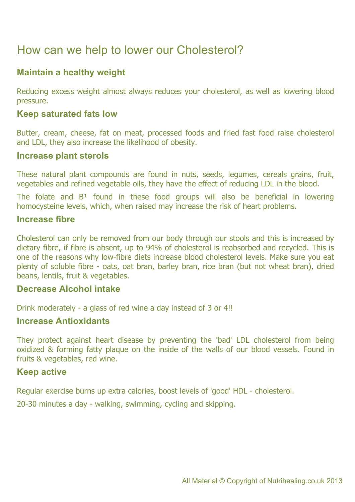# How can we help to lower our Cholesterol?

#### **Maintain a healthy weight**

Reducing excess weight almost always reduces your cholesterol, as well as lowering blood pressure.

#### **Keep saturated fats low**

Butter, cream, cheese, fat on meat, processed foods and fried fast food raise cholesterol and LDL, they also increase the likelihood of obesity.

#### **Increase plant sterols**

These natural plant compounds are found in nuts, seeds, legumes, cereals grains, fruit, vegetables and refined vegetable oils, they have the effect of reducing LDL in the blood.

The folate and  $B<sup>1</sup>$  found in these food groups will also be beneficial in lowering homocysteine levels, which, when raised may increase the risk of heart problems.

#### **Increase fibre**

Cholesterol can only be removed from our body through our stools and this is increased by dietary fibre, if fibre is absent, up to 94% of cholesterol is reabsorbed and recycled. This is one of the reasons why low-fibre diets increase blood cholesterol levels. Make sure you eat plenty of soluble fibre - oats, oat bran, barley bran, rice bran (but not wheat bran), dried beans, lentils, fruit & vegetables.

#### **Decrease Alcohol intake**

Drink moderately - a glass of red wine a day instead of 3 or 4!!

#### **Increase Antioxidants**

They protect against heart disease by preventing the 'bad' LDL cholesterol from being oxidized & forming fatty plaque on the inside of the walls of our blood vessels. Found in fruits & vegetables, red wine.

#### **Keep active**

Regular exercise burns up extra calories, boost levels of 'good' HDL - cholesterol.

20-30 minutes a day - walking, swimming, cycling and skipping.